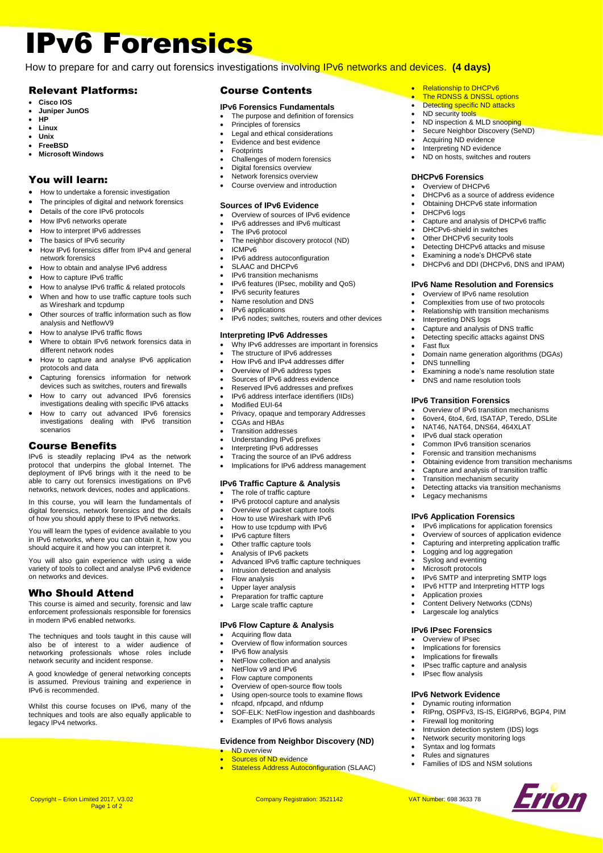# IPv6 Forensics

How to prepare for and carry out forensics investigations involving IPv6 networks and devices. **(4 days)**

## Relevant Platforms:

- **Cisco IOS**
- **Juniper JunOS**
- **HP** • **Linux**
- **Unix**
- **FreeBSD**
- **Microsoft Windows**

## You will learn:

- How to undertake a forensic investigation
- The principles of digital and network forensics
- Details of the core IPv6 protocols
- How IPv6 networks operate
- How to interpret IPv6 addresses
- The basics of IPv6 security
- How IPv6 forensics differ from IPv4 and general network forensics
- How to obtain and analyse IPv6 address
- How to capture IPv6 traffic
- How to analyse IPv6 traffic & related protocols
- When and how to use traffic capture tools such
- as Wireshark and tcpdump Other sources of traffic information such as flow analysis and NetflowV9
- How to analyse IPv6 traffic flows
- Where to obtain IPv6 network forensics data in different network nodes
- How to capture and analyse IPv6 application protocols and data
- Capturing forensics information for network devices such as switches, routers and firewalls
- How to carry out advanced IPv6 forensics investigations dealing with specific IPv6 attacks
- How to carry out advanced IPv6 forensics investigations dealing with IPv6 transition scenarios

### Course Benefits

IPv6 is steadily replacing IPv4 as the network protocol that underpins the global Internet. The deployment of IPv6 brings with it the need to be able to carry out forensics investigations on IPv6 networks, network devices, nodes and applications.

In this course, you will learn the fundamentals of digital forensics, network forensics and the details of how you should apply these to IPv6 networks.

You will learn the types of evidence available to you in IPv6 networks, where you can obtain it, how you should acquire it and how you can interpret it.

You will also gain experience with using a wide variety of tools to collect and analyse IPv6 evidence on networks and devices.

## Who Should Attend

This course is aimed and security, forensic and law enforcement professionals responsible for forensics in modern IPv6 enabled networks.

The techniques and tools taught in this cause will also be of interest to a wider audience of networking professionals whose roles include network security and incident response.

A good knowledge of general networking concepts assumed. Previous training and experience in IPv6 is recommended.

Whilst this course focuses on IPv6, many of the techniques and tools are also equally applicable to legacy IPv4 networks.

Page 1 of 2

#### Course Contents

#### **IPv6 Forensics Fundamentals**

The purpose and definition of forensics

**Relationship to DHCPv6** The RDNSS & DNSSL options • Detecting specific ND attacks ND security tools

> • Acquiring ND evidence Interpreting ND evidence • ND on hosts, switches and routers

**DHCPv6 Forensics** • Overview of DHCPv6

DHCPv6 logs

• ND inspection & MLD snooping Secure Neighbor Discovery (SeND)

• DHCPv6 as a source of address evidence Obtaining DHCPv6 state information

• Capture and analysis of DHCPv6 traffic

**IPv6 Name Resolution and Forensics** • Overview of IPv6 name resolution • Complexities from use of two protocols • Relationship with transition mechanisms

• Capture and analysis of DNS traffic • Detecting specific attacks against DNS

• Domain name generation algorithms (DGAs)

• Examining a node's name resolution state • DNS and name resolution tools

• Overview of IPv6 transition mechanisms • 6over4, 6to4, 6rd, ISATAP, Teredo, DSLite • NAT46, NAT64, DNS64, 464XLAT • IPv6 dual stack operation • Common IPv6 transition scenarios • Forensic and transition mechanisms • Obtaining evidence from transition mechanisms • Capture and analysis of transition traffic • Transition mechanism security

• Detecting attacks via transition mechanisms

• IPv6 implications for application forensics • Overview of sources of application evidence • Capturing and interpreting application traffic

• IPv6 SMTP and interpreting SMTP logs • IPv6 HTTP and Interpreting HTTP logs

• RIPng, OSPFv3, IS-IS, EIGRPv6, BGP4, PIM

Erion

• Intrusion detection system (IDS) logs • Network security monitoring logs Syntax and log formats • Rules and signatures

• Families of IDS and NSM solutions

• Content Delivery Networks (CDNs) Largescale log analytics **IPv6 IPsec Forensics** Overview of IPsec Implications for forensics • Implications for firewalls IPsec traffic capture and analysis

DHCPv6-shield in switches Other DHCPv6 security tools Detecting DHCPv6 attacks and misuse Examining a node's DHCPv6 state • DHCPv6 and DDI (DHCPv6, DNS and IPAM)

• Interpreting DNS logs

**IPv6 Transition Forensics**

• Legacy mechanisms

• Application proxies

• IPsec flow analysis **IPv6 Network Evidence** • Dynamic routing information

Firewall log monitoring

**IPv6 Application Forensics**

Logging and log aggregation Syslog and eventing Microsoft protocols

• Fast flux

DNS tunnelling

- Principles of forensics
- Legal and ethical considerations
- Evidence and best evidence
- **Footprints**
- Challenges of modern forensics
- Digital forensics overview • Network forensics overview
- Course overview and introduction
- 

#### **Sources of IPv6 Evidence**

- Overview of sources of IPv6 evidence
- IPv6 addresses and IPv6 multicast
- The IPv6 protocol
- The neighbor discovery protocol (ND) • ICMPv6
- 
- IPv6 address autoconfiguration SLAAC and DHCPv6
- IPv6 transition mechanisms
- IPv6 features (IPsec, mobility and QoS)
- IPv6 security features
- Name resolution and DNS
- IPv6 applications
	- IPv6 nodes; switches, routers and other devices

#### **Interpreting IPv6 Addresses**

- Why IPv6 addresses are important in forensics
- The structure of IPv6 addresses
- How IPv6 and IPv4 addresses differ
- Overview of IPv6 address types
- Sources of IPv6 address evidence
- Reserved IPv6 addresses and prefixes • IPv6 address interface identifiers (IIDs)
- Modified EUI-64
- Privacy, opaque and temporary Addresses
- CGAs and HBAs
- Transition addresses
- Understanding IPv6 prefixes
- Interpreting IPv6 addresses
- Tracing the source of an IPv6 address
- Implications for IPv6 address management

### **IPv6 Traffic Capture & Analysis**

- The role of traffic capture
- IPv6 protocol capture and analysis
- Overview of packet capture tools
- How to use Wireshark with IPv6
- How to use tcpdump with IPv6
- IPv6 capture filters
- Other traffic capture tools
- Analysis of IPv6 packets • Advanced IPv6 traffic capture techniques
- Intrusion detection and analysis
- Flow analysis
- Upper layer analysis
- Preparation for traffic capture
- Large scale traffic capture

#### **IPv6 Flow Capture & Analysis**

- Acquiring flow data
- Overview of flow information sources

Copyright – Erion Limited 2017, V3.02 Company Registration: 3521142 VAT Number: 698 3633 78

• ND overview

- IPv6 flow analysis
- NetFlow collection and analysis
- NetFlow v9 and IPv6
- Flow capture components
- Overview of open-source flow tools
- Using open-source tools to examine flows • nfcapd, nfpcapd, and nfdump

• Examples of IPv6 flows analysis

Sources of ND evidence

SOF-ELK: NetFlow ingestion and dashboards

• Stateless Address Autoconfiguration (SLAAC)

**Evidence from Neighbor Discovery (ND)**